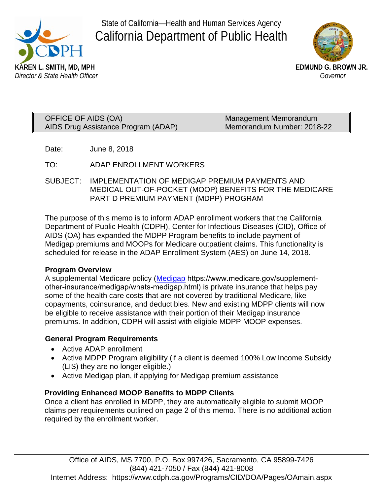

State of California—Health and Human Services Agency California Department of Public Health



| OFFICE OF AIDS (OA)                 | Management Memorandum      |
|-------------------------------------|----------------------------|
| AIDS Drug Assistance Program (ADAP) | Memorandum Number: 2018-22 |

Date: June 8, 2018

TO: ADAP ENROLLMENT WORKERS

SUBJECT: IMPLEMENTATION OF MEDIGAP PREMIUM PAYMENTS AND MEDICAL OUT-OF-POCKET (MOOP) BENEFITS FOR THE MEDICARE PART D PREMIUM PAYMENT (MDPP) PROGRAM

The purpose of this memo is to inform ADAP enrollment workers that the California Department of Public Health (CDPH), Center for Infectious Diseases (CID), Office of AIDS (OA) has expanded the MDPP Program benefits to include payment of Medigap premiums and MOOPs for Medicare outpatient claims. This functionality is scheduled for release in the ADAP Enrollment System (AES) on June 14, 2018.

## **Program Overview**

A supplemental Medicare policy (Medigap https://www.medicare.gov/supplementother-insurance/medigap/whats-medigap.html) is private insurance that helps pay some of the health care costs that are not covered by traditional Medicare, like copayments, coinsurance, and deductibles. New and existing MDPP clients will now be eligible to receive assistance with their portion of their Medigap insurance premiums. In addition, CDPH will assist with eligible MDPP MOOP expenses.

## **General Program Requirements**

- Active ADAP enrollment
- Active MDPP Program eligibility (if a client is deemed 100% Low Income Subsidy (LIS) they are no longer eligible.)
- Active Medigap plan, if applying for Medigap premium assistance

# **Providing Enhanced MOOP Benefits to MDPP Clients**

Once a client has enrolled in MDPP, they are automatically eligible to submit MOOP claims per requirements outlined on page 2 of this memo. There is no additional action required by the enrollment worker.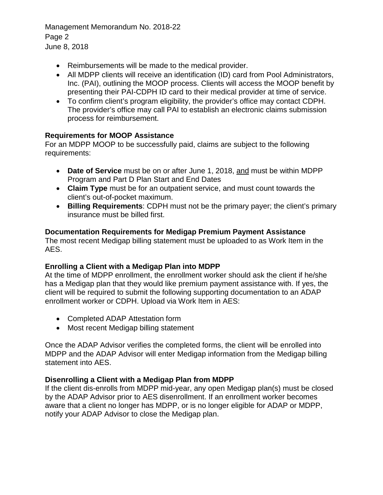Management Memorandum No. 2018-22 Page 2 June 8, 2018

- Reimbursements will be made to the medical provider.
- All MDPP clients will receive an identification (ID) card from Pool Administrators, Inc. (PAI), outlining the MOOP process. Clients will access the MOOP benefit by presenting their PAI-CDPH ID card to their medical provider at time of service.
- To confirm client's program eligibility, the provider's office may contact CDPH. The provider's office may call PAI to establish an electronic claims submission process for reimbursement.

## **Requirements for MOOP Assistance**

For an MDPP MOOP to be successfully paid, claims are subject to the following requirements:

- **Date of Service** must be on or after June 1, 2018, and must be within MDPP Program and Part D Plan Start and End Dates
- **Claim Type** must be for an outpatient service, and must count towards the client's out-of-pocket maximum.
- **Billing Requirements**: CDPH must not be the primary payer; the client's primary insurance must be billed first.

#### **Documentation Requirements for Medigap Premium Payment Assistance**

The most recent Medigap billing statement must be uploaded to as Work Item in the AES.

#### **Enrolling a Client with a Medigap Plan into MDPP**

At the time of MDPP enrollment, the enrollment worker should ask the client if he/she has a Medigap plan that they would like premium payment assistance with. If yes, the client will be required to submit the following supporting documentation to an ADAP enrollment worker or CDPH. Upload via Work Item in AES:

- Completed ADAP Attestation form
- Most recent Medigap billing statement

Once the ADAP Advisor verifies the completed forms, the client will be enrolled into MDPP and the ADAP Advisor will enter Medigap information from the Medigap billing statement into AES.

## **Disenrolling a Client with a Medigap Plan from MDPP**

If the client dis-enrolls from MDPP mid-year, any open Medigap plan(s) must be closed by the ADAP Advisor prior to AES disenrollment. If an enrollment worker becomes aware that a client no longer has MDPP, or is no longer eligible for ADAP or MDPP, notify your ADAP Advisor to close the Medigap plan.